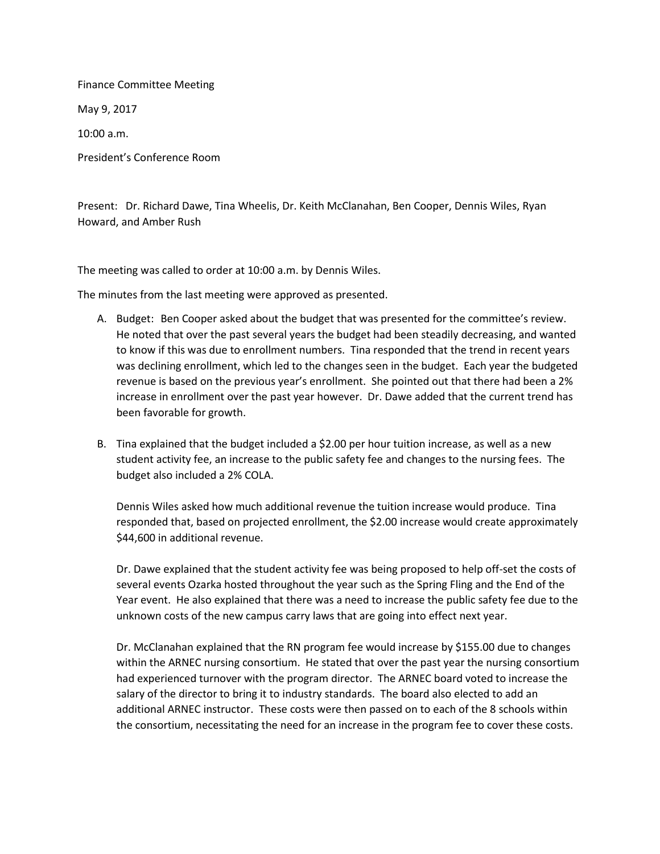Finance Committee Meeting May 9, 2017 10:00 a.m. President's Conference Room

Present: Dr. Richard Dawe, Tina Wheelis, Dr. Keith McClanahan, Ben Cooper, Dennis Wiles, Ryan Howard, and Amber Rush

The meeting was called to order at 10:00 a.m. by Dennis Wiles.

The minutes from the last meeting were approved as presented.

- A. Budget: Ben Cooper asked about the budget that was presented for the committee's review. He noted that over the past several years the budget had been steadily decreasing, and wanted to know if this was due to enrollment numbers. Tina responded that the trend in recent years was declining enrollment, which led to the changes seen in the budget. Each year the budgeted revenue is based on the previous year's enrollment. She pointed out that there had been a 2% increase in enrollment over the past year however. Dr. Dawe added that the current trend has been favorable for growth.
- B. Tina explained that the budget included a \$2.00 per hour tuition increase, as well as a new student activity fee, an increase to the public safety fee and changes to the nursing fees. The budget also included a 2% COLA.

Dennis Wiles asked how much additional revenue the tuition increase would produce. Tina responded that, based on projected enrollment, the \$2.00 increase would create approximately \$44,600 in additional revenue.

Dr. Dawe explained that the student activity fee was being proposed to help off-set the costs of several events Ozarka hosted throughout the year such as the Spring Fling and the End of the Year event. He also explained that there was a need to increase the public safety fee due to the unknown costs of the new campus carry laws that are going into effect next year.

Dr. McClanahan explained that the RN program fee would increase by \$155.00 due to changes within the ARNEC nursing consortium. He stated that over the past year the nursing consortium had experienced turnover with the program director. The ARNEC board voted to increase the salary of the director to bring it to industry standards. The board also elected to add an additional ARNEC instructor. These costs were then passed on to each of the 8 schools within the consortium, necessitating the need for an increase in the program fee to cover these costs.